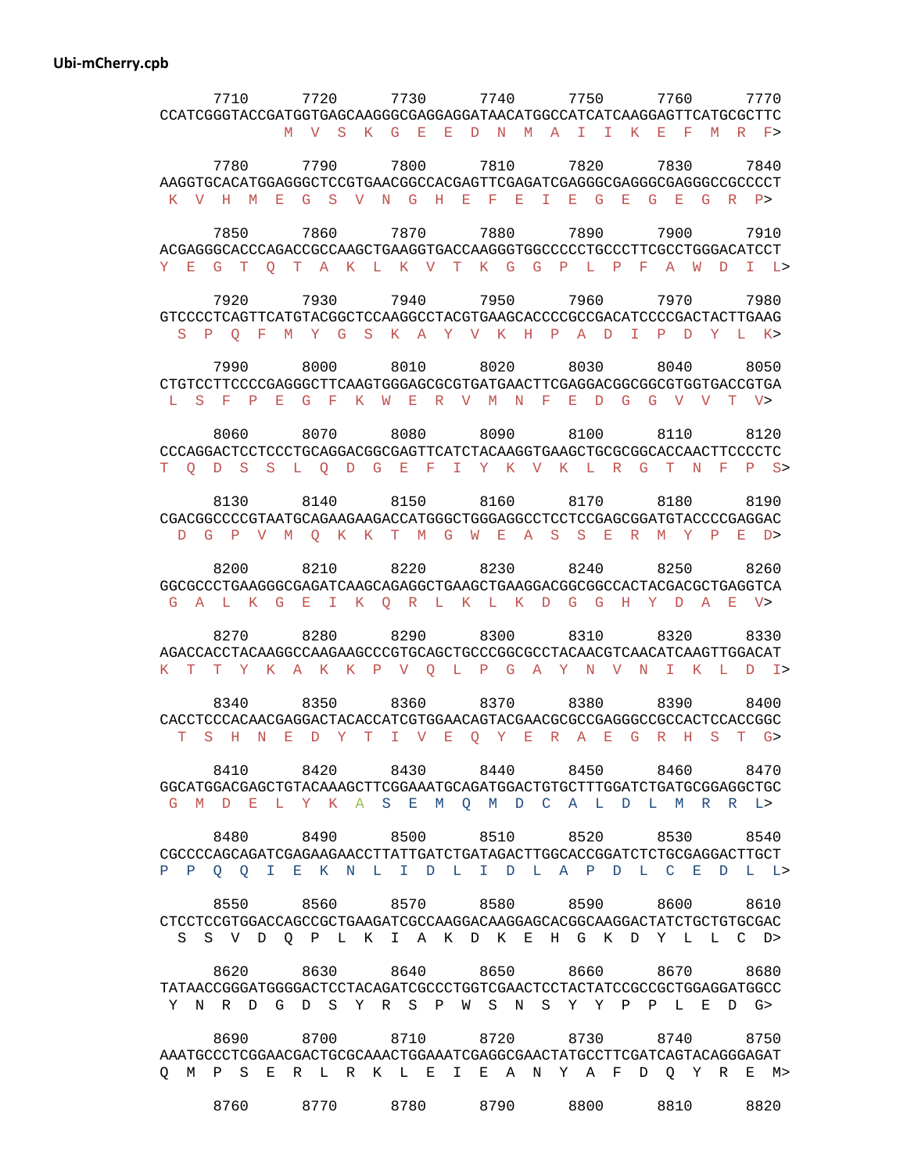## **Ubi-mCherry.cpb**

| 7710      | 7720                                                                                                                     | 7730           | 7740      | 7750      | 7760                     | 7770   |
|-----------|--------------------------------------------------------------------------------------------------------------------------|----------------|-----------|-----------|--------------------------|--------|
|           | CCATCGGGTACCGATGGTGAGCAAGGGCGAGGAGGATAACATGGCCATCATCAAGGAGTTCATGCGCTTC                                                   |                |           |           |                          |        |
|           | M V S K G E E D N M A I I K E F M R F>                                                                                   |                |           |           |                          |        |
| 7780      | 7790                                                                                                                     | 7800           | 7810      | 7820      | 7830                     | 7840   |
|           | AAGGTGCACATGGAGGGCTCCGTGAACGGCCACGAGTTCGAGATCGAGGCGAGGGCGAGGGCCGCCCCT                                                    |                |           |           |                          |        |
|           | K V H M E G S V N G H E F E I E G E G E G R P>                                                                           |                |           |           |                          |        |
| 7850      | 7860                                                                                                                     | 7870           | 7880      | 7890      | 7900                     | 7910   |
|           | ACGAGGGCACCCAGACCGCCAAGCTGAAGGTGACCAAGGGTGCCCCCCTGCCCTTCGCCTGGGACATCCT                                                   |                |           |           |                          |        |
|           | Y E G T O T A K L K V T K G G P L P F A W D I L>                                                                         |                |           |           |                          |        |
|           |                                                                                                                          |                |           |           |                          |        |
| 7920      | 7930                                                                                                                     | 7940           | 7950      | 7960      | 7970                     | 7980   |
| S P O F   | GTCCCCTCAGTTCATGTACGGCTCCAAGGCCTACGTGAAGCACCCCGCCGACATCCCCGACTACTTGAAG<br>MY GSKAY VKHPAD IPD                            |                |           |           |                          | Y L K> |
|           |                                                                                                                          |                |           |           |                          |        |
| 7990 8000 |                                                                                                                          | 8010 8020      |           | 8030 8040 |                          | 8050   |
|           | CTGTCCTTCCCCGAGGGCTTCAAGTGGGAGCGCGTGATGAACTTCGAGGACGGCGGCGTGGTGACCGTGA                                                   |                |           |           |                          |        |
|           | L S F P E G F K W E R V M N F E D G G V V T V>                                                                           |                |           |           |                          |        |
| 8060      | 8070                                                                                                                     | 8080           | 8090      | 8100      | 8110                     | 8120   |
|           | CCCAGGACTCCTCCCTGCAGGACGGCGAGTTCATCTACAAGGTGAAGCTGCGCGGCACCAACTTCCCCTC                                                   |                |           |           |                          |        |
|           | T O D S S L O D G E F I Y K V K L R                                                                                      |                |           |           | G T N F                  | $P$ S> |
|           |                                                                                                                          |                |           |           |                          |        |
| 8130      | 8140<br>CGACGGCCCCGTAATGCAGAAGAAGACCATGGGCTGGGAGGCCTCCTCCGAGCGGATGTACCCCGAGGAC                                           | 8150           | 8160      | 8170      | 8180                     | 8190   |
|           | D G P V M O K K T M G W E A S S E R M Y P E D>                                                                           |                |           |           |                          |        |
|           |                                                                                                                          |                |           |           |                          |        |
| 8200      | 8210                                                                                                                     | 8220           | 8230      | 8240      | 8250                     | 8260   |
|           | GGCGCCCTGAAGGGCGAGATCAAGCAGAGGCTGAAGCTGAAGGACGGCGCCACTACGACGCTGAGGTCA                                                    |                |           |           |                          |        |
|           | G A L K G E I K O R L K L K D G G H Y D A E                                                                              |                |           |           |                          | V >    |
| 8270      | 8280                                                                                                                     | 8290           | 8300      | 8310      | 8320                     | 8330   |
|           | AGACCACCTACAAGGCCAAGAAGCCCGTGCAGCTGCCCGGCGCCTACAACGTCAACATCAAGTTGGACAT                                                   |                |           |           |                          |        |
|           | K T T Y K A K K P V O L P G A Y N V N I K L                                                                              |                |           |           |                          | $D$ I> |
| 8340      | 8350                                                                                                                     | 8360           | 8370      | 8380      | 8390                     | 8400   |
|           |                                                                                                                          |                |           |           |                          |        |
|           | T S H N E D Y T I V E O Y E R A E G R H S T G>                                                                           |                |           |           |                          |        |
|           |                                                                                                                          |                |           |           |                          |        |
| 8410      | 8420                                                                                                                     | 8430 8440 8450 |           |           | 8460 8470                |        |
|           | GGCATGGACGAGCTGTACAAAGCTTCGGAAATGCAGATGGACTGTGCTTTGGATCTGATGCGGAGGCTGC<br>G M D E L Y K A S E M O M D C A L D L M R R L> |                |           |           |                          |        |
|           |                                                                                                                          |                |           |           |                          |        |
|           | 8480 8490 8500 8510 8520 8530 8540                                                                                       |                |           |           |                          |        |
|           | CGCCCCAGCAGATCGAGAAGAACCTTATTGATCTGATAGACTTGGCACCGGATCTCTGCGAGGACTTGCT                                                   |                |           |           |                          |        |
|           | P P Q Q I E K N L I D L I D L A P D L C E D L L>                                                                         |                |           |           |                          |        |
| 8550      | 8560                                                                                                                     |                |           |           | 8570 8580 8590 8600 8610 |        |
|           | CTCCTCCGTGGACCAGCCGCTGAAGATCGCCAAGGACAAGGAGCACGGCAAGGACTATCTGCTGTGCGAC                                                   |                |           |           |                          |        |
|           | S S V D Q P L K I A K D K E H G K D Y L L C D>                                                                           |                |           |           |                          |        |
|           |                                                                                                                          |                |           |           |                          |        |
|           | 8620 8630 8640 8650 8660                                                                                                 |                |           |           | 8670 8680                |        |
|           | Y N R D G D S Y R S P W S N S Y Y P P L E D G>                                                                           |                |           |           |                          |        |
|           |                                                                                                                          |                |           |           |                          |        |
| 8690      | 8700                                                                                                                     | 8710           | 8720 — 10 | 8730      | 8740                     | 8750   |
|           | AAATGCCCTCGGAACGACTGCGCAAACTGGAAATCGAGGCGAACTATGCCTTCGATCAGTACAGGGAGAT                                                   |                |           |           |                          |        |
|           | O M P S E R L R K L E I E A N Y A F D O Y R E M>                                                                         |                |           |           |                          |        |
|           | 8760 8770 8780 8790 8800 8810                                                                                            |                |           |           |                          | 8820   |
|           |                                                                                                                          |                |           |           |                          |        |